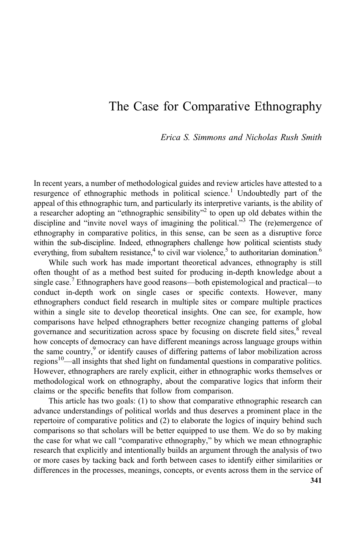# The Case for Comparative Ethnography

Erica S. Simmons and Nicholas Rush Smith

In recent years, a number of methodological guides and review articles have attested to a resurgence of ethnographic methods in political science.<sup>1</sup> Undoubtedly part of the appeal of this ethnographic turn, and particularly its interpretive variants, is the ability of a researcher adopting an "ethnographic sensibility"<sup>2</sup> to open up old debates within the discipline and "invite novel ways of imagining the political."<sup>3</sup> The (re)emergence of ethnography in comparative politics, in this sense, can be seen as a disruptive force within the sub-discipline. Indeed, ethnographers challenge how political scientists study everything, from subaltern resistance,<sup>4</sup> to civil war violence,<sup>5</sup> to authoritarian domination.<sup>6</sup>

While such work has made important theoretical advances, ethnography is still often thought of as a method best suited for producing in-depth knowledge about a single case.<sup>7</sup> Ethnographers have good reasons—both epistemological and practical—to conduct in-depth work on single cases or specific contexts. However, many ethnographers conduct field research in multiple sites or compare multiple practices within a single site to develop theoretical insights. One can see, for example, how comparisons have helped ethnographers better recognize changing patterns of global governance and securitization across space by focusing on discrete field sites,<sup>8</sup> reveal how concepts of democracy can have different meanings across language groups within the same country,<sup>9</sup> or identify causes of differing patterns of labor mobilization across regions<sup>10</sup>—all insights that shed light on fundamental questions in comparative politics. However, ethnographers are rarely explicit, either in ethnographic works themselves or methodological work on ethnography, about the comparative logics that inform their claims or the specific benefits that follow from comparison.

This article has two goals: (1) to show that comparative ethnographic research can advance understandings of political worlds and thus deserves a prominent place in the repertoire of comparative politics and (2) to elaborate the logics of inquiry behind such comparisons so that scholars will be better equipped to use them. We do so by making the case for what we call "comparative ethnography," by which we mean ethnographic research that explicitly and intentionally builds an argument through the analysis of two or more cases by tacking back and forth between cases to identify either similarities or differences in the processes, meanings, concepts, or events across them in the service of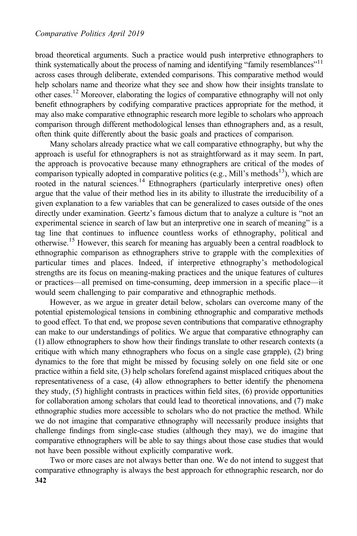broad theoretical arguments. Such a practice would push interpretive ethnographers to think systematically about the process of naming and identifying "family resemblances"<sup>11</sup> across cases through deliberate, extended comparisons. This comparative method would help scholars name and theorize what they see and show how their insights translate to other cases.12 Moreover, elaborating the logics of comparative ethnography will not only benefit ethnographers by codifying comparative practices appropriate for the method, it may also make comparative ethnographic research more legible to scholars who approach comparison through different methodological lenses than ethnographers and, as a result, often think quite differently about the basic goals and practices of comparison.

Many scholars already practice what we call comparative ethnography, but why the approach is useful for ethnographers is not as straightforward as it may seem. In part, the approach is provocative because many ethnographers are critical of the modes of comparison typically adopted in comparative politics (e.g., Mill's methods<sup>13</sup>), which are rooted in the natural sciences.<sup>14</sup> Ethnographers (particularly interpretive ones) often argue that the value of their method lies in its ability to illustrate the irreducibility of a given explanation to a few variables that can be generalized to cases outside of the ones directly under examination. Geertz's famous dictum that to analyze a culture is "not an experimental science in search of law but an interpretive one in search of meaning" is a tag line that continues to influence countless works of ethnography, political and otherwise.<sup>15</sup> However, this search for meaning has arguably been a central roadblock to ethnographic comparison as ethnographers strive to grapple with the complexities of particular times and places. Indeed, if interpretive ethnography's methodological strengths are its focus on meaning-making practices and the unique features of cultures or practices—all premised on time-consuming, deep immersion in a specific place—it would seem challenging to pair comparative and ethnographic methods.

However, as we argue in greater detail below, scholars can overcome many of the potential epistemological tensions in combining ethnographic and comparative methods to good effect. To that end, we propose seven contributions that comparative ethnography can make to our understandings of politics. We argue that comparative ethnography can (1) allow ethnographers to show how their findings translate to other research contexts (a critique with which many ethnographers who focus on a single case grapple), (2) bring dynamics to the fore that might be missed by focusing solely on one field site or one practice within a field site, (3) help scholars forefend against misplaced critiques about the representativeness of a case, (4) allow ethnographers to better identify the phenomena they study, (5) highlight contrasts in practices within field sites, (6) provide opportunities for collaboration among scholars that could lead to theoretical innovations, and (7) make ethnographic studies more accessible to scholars who do not practice the method. While we do not imagine that comparative ethnography will necessarily produce insights that challenge findings from single-case studies (although they may), we do imagine that comparative ethnographers will be able to say things about those case studies that would not have been possible without explicitly comparative work.

Two or more cases are not always better than one. We do not intend to suggest that comparative ethnography is always the best approach for ethnographic research, nor do 342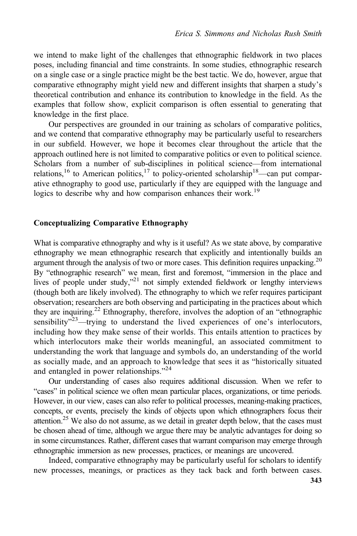we intend to make light of the challenges that ethnographic fieldwork in two places poses, including financial and time constraints. In some studies, ethnographic research on a single case or a single practice might be the best tactic. We do, however, argue that comparative ethnography might yield new and different insights that sharpen a study's theoretical contribution and enhance its contribution to knowledge in the field. As the examples that follow show, explicit comparison is often essential to generating that knowledge in the first place.

Our perspectives are grounded in our training as scholars of comparative politics, and we contend that comparative ethnography may be particularly useful to researchers in our subfield. However, we hope it becomes clear throughout the article that the approach outlined here is not limited to comparative politics or even to political science. Scholars from a number of sub-disciplines in political science—from international relations,<sup>16</sup> to American politics,<sup>17</sup> to policy-oriented scholarship<sup>18</sup>—can put comparative ethnography to good use, particularly if they are equipped with the language and logics to describe why and how comparison enhances their work.<sup>19</sup>

### Conceptualizing Comparative Ethnography

What is comparative ethnography and why is it useful? As we state above, by comparative ethnography we mean ethnographic research that explicitly and intentionally builds an argument through the analysis of two or more cases. This definition requires unpacking.<sup>20</sup> By "ethnographic research" we mean, first and foremost, "immersion in the place and lives of people under study," <sup>21</sup> not simply extended fieldwork or lengthy interviews (though both are likely involved). The ethnography to which we refer requires participant observation; researchers are both observing and participating in the practices about which they are inquiring.<sup>22</sup> Ethnography, therefore, involves the adoption of an "ethnographic sensibility $v^{23}$ —trying to understand the lived experiences of one's interlocutors, including how they make sense of their worlds. This entails attention to practices by which interlocutors make their worlds meaningful, an associated commitment to understanding the work that language and symbols do, an understanding of the world as socially made, and an approach to knowledge that sees it as "historically situated and entangled in power relationships."<sup>24</sup>

Our understanding of cases also requires additional discussion. When we refer to "cases" in political science we often mean particular places, organizations, or time periods. However, in our view, cases can also refer to political processes, meaning-making practices, concepts, or events, precisely the kinds of objects upon which ethnographers focus their attention.<sup>25</sup> We also do not assume, as we detail in greater depth below, that the cases must be chosen ahead of time, although we argue there may be analytic advantages for doing so in some circumstances. Rather, different cases that warrant comparison may emerge through ethnographic immersion as new processes, practices, or meanings are uncovered.

Indeed, comparative ethnography may be particularly useful for scholars to identify new processes, meanings, or practices as they tack back and forth between cases.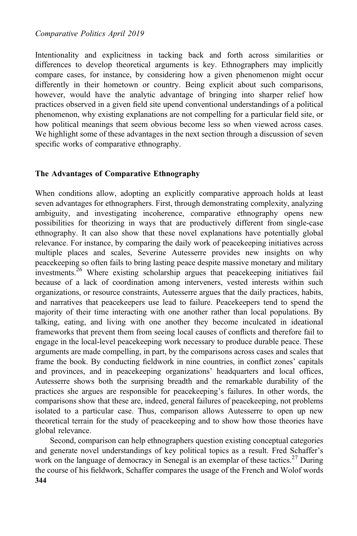Intentionality and explicitness in tacking back and forth across similarities or differences to develop theoretical arguments is key. Ethnographers may implicitly compare cases, for instance, by considering how a given phenomenon might occur differently in their hometown or country. Being explicit about such comparisons, however, would have the analytic advantage of bringing into sharper relief how practices observed in a given field site upend conventional understandings of a political phenomenon, why existing explanations are not compelling for a particular field site, or how political meanings that seem obvious become less so when viewed across cases. We highlight some of these advantages in the next section through a discussion of seven specific works of comparative ethnography.

## The Advantages of Comparative Ethnography

When conditions allow, adopting an explicitly comparative approach holds at least seven advantages for ethnographers. First, through demonstrating complexity, analyzing ambiguity, and investigating incoherence, comparative ethnography opens new possibilities for theorizing in ways that are productively different from single-case ethnography. It can also show that these novel explanations have potentially global relevance. For instance, by comparing the daily work of peacekeeping initiatives across multiple places and scales, Severine Autesserre provides new insights on why peacekeeping so often fails to bring lasting peace despite massive monetary and military investments.<sup>26</sup> Where existing scholarship argues that peacekeeping initiatives fail because of a lack of coordination among interveners, vested interests within such organizations, or resource constraints, Autesserre argues that the daily practices, habits, and narratives that peacekeepers use lead to failure. Peacekeepers tend to spend the majority of their time interacting with one another rather than local populations. By talking, eating, and living with one another they become inculcated in ideational frameworks that prevent them from seeing local causes of conflicts and therefore fail to engage in the local-level peacekeeping work necessary to produce durable peace. These arguments are made compelling, in part, by the comparisons across cases and scales that frame the book. By conducting fieldwork in nine countries, in conflict zones' capitals and provinces, and in peacekeeping organizations' headquarters and local offices, Autesserre shows both the surprising breadth and the remarkable durability of the practices she argues are responsible for peacekeeping's failures. In other words, the comparisons show that these are, indeed, general failures of peacekeeping, not problems isolated to a particular case. Thus, comparison allows Autesserre to open up new theoretical terrain for the study of peacekeeping and to show how those theories have global relevance.

Second, comparison can help ethnographers question existing conceptual categories and generate novel understandings of key political topics as a result. Fred Schaffer's work on the language of democracy in Senegal is an exemplar of these tactics.<sup>27</sup> During the course of his fieldwork, Schaffer compares the usage of the French and Wolof words 344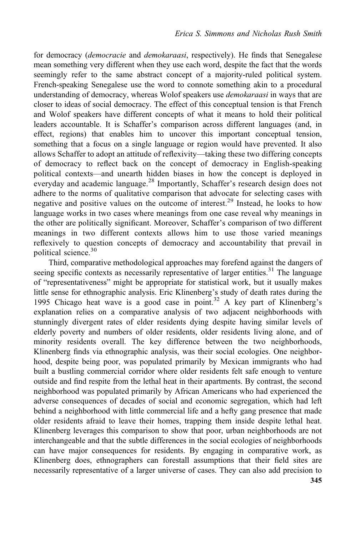for democracy (democracie and demokaraasi, respectively). He finds that Senegalese mean something very different when they use each word, despite the fact that the words seemingly refer to the same abstract concept of a majority-ruled political system. French-speaking Senegalese use the word to connote something akin to a procedural understanding of democracy, whereas Wolof speakers use *demokaraasi* in ways that are closer to ideas of social democracy. The effect of this conceptual tension is that French and Wolof speakers have different concepts of what it means to hold their political leaders accountable. It is Schaffer's comparison across different languages (and, in effect, regions) that enables him to uncover this important conceptual tension, something that a focus on a single language or region would have prevented. It also allows Schaffer to adopt an attitude of reflexivity—taking these two differing concepts of democracy to reflect back on the concept of democracy in English-speaking political contexts—and unearth hidden biases in how the concept is deployed in everyday and academic language.<sup>28</sup> Importantly, Schaffer's research design does not adhere to the norms of qualitative comparison that advocate for selecting cases with negative and positive values on the outcome of interest.<sup>29</sup> Instead, he looks to how language works in two cases where meanings from one case reveal why meanings in the other are politically significant. Moreover, Schaffer's comparison of two different meanings in two different contexts allows him to use those varied meanings reflexively to question concepts of democracy and accountability that prevail in political science.<sup>30</sup>

Third, comparative methodological approaches may forefend against the dangers of seeing specific contexts as necessarily representative of larger entities.<sup>31</sup> The language of "representativeness" might be appropriate for statistical work, but it usually makes little sense for ethnographic analysis. Eric Klinenberg's study of death rates during the 1995 Chicago heat wave is a good case in point.<sup>32</sup> A key part of Klinenberg's explanation relies on a comparative analysis of two adjacent neighborhoods with stunningly divergent rates of elder residents dying despite having similar levels of elderly poverty and numbers of older residents, older residents living alone, and of minority residents overall. The key difference between the two neighborhoods, Klinenberg finds via ethnographic analysis, was their social ecologies. One neighborhood, despite being poor, was populated primarily by Mexican immigrants who had built a bustling commercial corridor where older residents felt safe enough to venture outside and find respite from the lethal heat in their apartments. By contrast, the second neighborhood was populated primarily by African Americans who had experienced the adverse consequences of decades of social and economic segregation, which had left behind a neighborhood with little commercial life and a hefty gang presence that made older residents afraid to leave their homes, trapping them inside despite lethal heat. Klinenberg leverages this comparison to show that poor, urban neighborhoods are not interchangeable and that the subtle differences in the social ecologies of neighborhoods can have major consequences for residents. By engaging in comparative work, as Klinenberg does, ethnographers can forestall assumptions that their field sites are necessarily representative of a larger universe of cases. They can also add precision to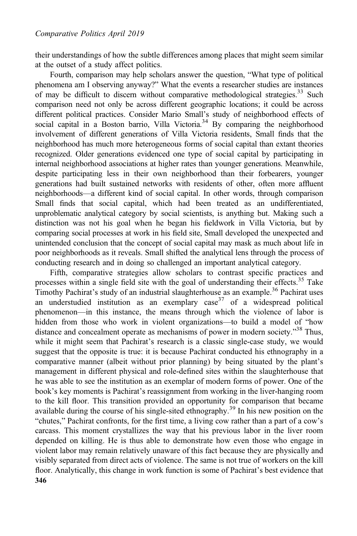their understandings of how the subtle differences among places that might seem similar at the outset of a study affect politics.

Fourth, comparison may help scholars answer the question, "What type of political phenomena am I observing anyway?" What the events a researcher studies are instances of may be difficult to discern without comparative methodological strategies.<sup>33</sup> Such comparison need not only be across different geographic locations; it could be across different political practices. Consider Mario Small's study of neighborhood effects of social capital in a Boston barrio, Villa Victoria.<sup>34</sup> By comparing the neighborhood involvement of different generations of Villa Victoria residents, Small finds that the neighborhood has much more heterogeneous forms of social capital than extant theories recognized. Older generations evidenced one type of social capital by participating in internal neighborhood associations at higher rates than younger generations. Meanwhile, despite participating less in their own neighborhood than their forbearers, younger generations had built sustained networks with residents of other, often more affluent neighborhoods—a different kind of social capital. In other words, through comparison Small finds that social capital, which had been treated as an undifferentiated, unproblematic analytical category by social scientists, is anything but. Making such a distinction was not his goal when he began his fieldwork in Villa Victoria, but by comparing social processes at work in his field site, Small developed the unexpected and unintended conclusion that the concept of social capital may mask as much about life in poor neighborhoods as it reveals. Small shifted the analytical lens through the process of conducting research and in doing so challenged an important analytical category.

Fifth, comparative strategies allow scholars to contrast specific practices and processes within a single field site with the goal of understanding their effects.<sup>35</sup> Take Timothy Pachirat's study of an industrial slaughterhouse as an example.<sup>36</sup> Pachirat uses an understudied institution as an exemplary  $case^{37}$  of a widespread political phenomenon—in this instance, the means through which the violence of labor is hidden from those who work in violent organizations—to build a model of "how distance and concealment operate as mechanisms of power in modern society."<sup>38</sup> Thus, while it might seem that Pachirat's research is a classic single-case study, we would suggest that the opposite is true: it is because Pachirat conducted his ethnography in a comparative manner (albeit without prior planning) by being situated by the plant's management in different physical and role-defined sites within the slaughterhouse that he was able to see the institution as an exemplar of modern forms of power. One of the book's key moments is Pachirat's reassignment from working in the liver-hanging room to the kill floor. This transition provided an opportunity for comparison that became available during the course of his single-sited ethnography.<sup>39</sup> In his new position on the "chutes," Pachirat confronts, for the first time, a living cow rather than a part of a cow's carcass. This moment crystallizes the way that his previous labor in the liver room depended on killing. He is thus able to demonstrate how even those who engage in violent labor may remain relatively unaware of this fact because they are physically and visibly separated from direct acts of violence. The same is not true of workers on the kill floor. Analytically, this change in work function is some of Pachirat's best evidence that 346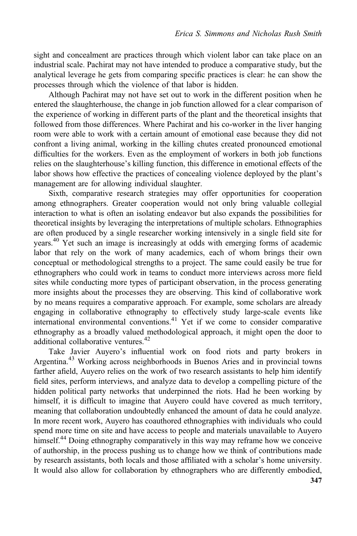sight and concealment are practices through which violent labor can take place on an industrial scale. Pachirat may not have intended to produce a comparative study, but the analytical leverage he gets from comparing specific practices is clear: he can show the processes through which the violence of that labor is hidden.

Although Pachirat may not have set out to work in the different position when he entered the slaughterhouse, the change in job function allowed for a clear comparison of the experience of working in different parts of the plant and the theoretical insights that followed from those differences. Where Pachirat and his co-worker in the liver hanging room were able to work with a certain amount of emotional ease because they did not confront a living animal, working in the killing chutes created pronounced emotional difficulties for the workers. Even as the employment of workers in both job functions relies on the slaughterhouse's killing function, this difference in emotional effects of the labor shows how effective the practices of concealing violence deployed by the plant's management are for allowing individual slaughter.

Sixth, comparative research strategies may offer opportunities for cooperation among ethnographers. Greater cooperation would not only bring valuable collegial interaction to what is often an isolating endeavor but also expands the possibilities for theoretical insights by leveraging the interpretations of multiple scholars. Ethnographies are often produced by a single researcher working intensively in a single field site for years.<sup>40</sup> Yet such an image is increasingly at odds with emerging forms of academic labor that rely on the work of many academics, each of whom brings their own conceptual or methodological strengths to a project. The same could easily be true for ethnographers who could work in teams to conduct more interviews across more field sites while conducting more types of participant observation, in the process generating more insights about the processes they are observing. This kind of collaborative work by no means requires a comparative approach. For example, some scholars are already engaging in collaborative ethnography to effectively study large-scale events like international environmental conventions.<sup>41</sup> Yet if we come to consider comparative ethnography as a broadly valued methodological approach, it might open the door to additional collaborative ventures.<sup>42</sup>

Take Javier Auyero's influential work on food riots and party brokers in Argentina.<sup>43</sup> Working across neighborhoods in Buenos Aries and in provincial towns farther afield, Auyero relies on the work of two research assistants to help him identify field sites, perform interviews, and analyze data to develop a compelling picture of the hidden political party networks that underpinned the riots. Had he been working by himself, it is difficult to imagine that Auyero could have covered as much territory, meaning that collaboration undoubtedly enhanced the amount of data he could analyze. In more recent work, Auyero has coauthored ethnographies with individuals who could spend more time on site and have access to people and materials unavailable to Auyero himself.<sup>44</sup> Doing ethnography comparatively in this way may reframe how we conceive of authorship, in the process pushing us to change how we think of contributions made by research assistants, both locals and those affiliated with a scholar's home university. It would also allow for collaboration by ethnographers who are differently embodied,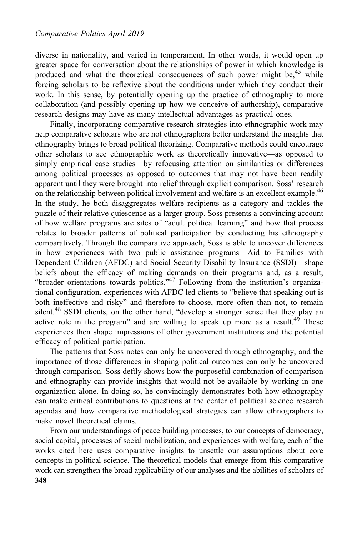diverse in nationality, and varied in temperament. In other words, it would open up greater space for conversation about the relationships of power in which knowledge is produced and what the theoretical consequences of such power might be, $45$  while forcing scholars to be reflexive about the conditions under which they conduct their work. In this sense, by potentially opening up the practice of ethnography to more collaboration (and possibly opening up how we conceive of authorship), comparative research designs may have as many intellectual advantages as practical ones.

Finally, incorporating comparative research strategies into ethnographic work may help comparative scholars who are not ethnographers better understand the insights that ethnography brings to broad political theorizing. Comparative methods could encourage other scholars to see ethnographic work as theoretically innovative—as opposed to simply empirical case studies—by refocusing attention on similarities or differences among political processes as opposed to outcomes that may not have been readily apparent until they were brought into relief through explicit comparison. Soss' research on the relationship between political involvement and welfare is an excellent example.<sup>46</sup> In the study, he both disaggregates welfare recipients as a category and tackles the puzzle of their relative quiescence as a larger group. Soss presents a convincing account of how welfare programs are sites of "adult political learning" and how that process relates to broader patterns of political participation by conducting his ethnography comparatively. Through the comparative approach, Soss is able to uncover differences in how experiences with two public assistance programs—Aid to Families with Dependent Children (AFDC) and Social Security Disability Insurance (SSDI)—shape beliefs about the efficacy of making demands on their programs and, as a result, "broader orientations towards politics."<sup>47</sup> Following from the institution's organizational configuration, experiences with AFDC led clients to "believe that speaking out is both ineffective and risky" and therefore to choose, more often than not, to remain silent.<sup>48</sup> SSDI clients, on the other hand, "develop a stronger sense that they play an active role in the program" and are willing to speak up more as a result.<sup>49</sup> These experiences then shape impressions of other government institutions and the potential efficacy of political participation.

The patterns that Soss notes can only be uncovered through ethnography, and the importance of those differences in shaping political outcomes can only be uncovered through comparison. Soss deftly shows how the purposeful combination of comparison and ethnography can provide insights that would not be available by working in one organization alone. In doing so, he convincingly demonstrates both how ethnography can make critical contributions to questions at the center of political science research agendas and how comparative methodological strategies can allow ethnographers to make novel theoretical claims.

From our understandings of peace building processes, to our concepts of democracy, social capital, processes of social mobilization, and experiences with welfare, each of the works cited here uses comparative insights to unsettle our assumptions about core concepts in political science. The theoretical models that emerge from this comparative work can strengthen the broad applicability of our analyses and the abilities of scholars of 348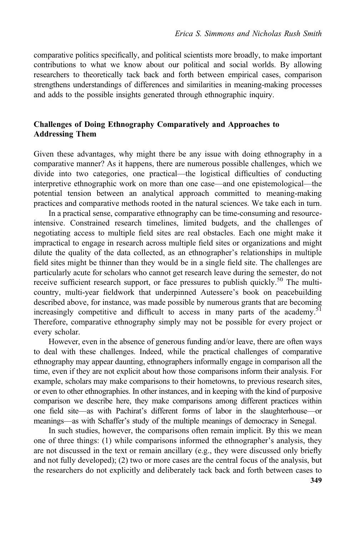comparative politics specifically, and political scientists more broadly, to make important contributions to what we know about our political and social worlds. By allowing researchers to theoretically tack back and forth between empirical cases, comparison strengthens understandings of differences and similarities in meaning-making processes and adds to the possible insights generated through ethnographic inquiry.

## Challenges of Doing Ethnography Comparatively and Approaches to Addressing Them

Given these advantages, why might there be any issue with doing ethnography in a comparative manner? As it happens, there are numerous possible challenges, which we divide into two categories, one practical—the logistical difficulties of conducting interpretive ethnographic work on more than one case—and one epistemological—the potential tension between an analytical approach committed to meaning-making practices and comparative methods rooted in the natural sciences. We take each in turn.

In a practical sense, comparative ethnography can be time-consuming and resourceintensive. Constrained research timelines, limited budgets, and the challenges of negotiating access to multiple field sites are real obstacles. Each one might make it impractical to engage in research across multiple field sites or organizations and might dilute the quality of the data collected, as an ethnographer's relationships in multiple field sites might be thinner than they would be in a single field site. The challenges are particularly acute for scholars who cannot get research leave during the semester, do not receive sufficient research support, or face pressures to publish quickly.<sup>50</sup> The multicountry, multi-year fieldwork that underpinned Autessere's book on peacebuilding described above, for instance, was made possible by numerous grants that are becoming increasingly competitive and difficult to access in many parts of the academy.<sup>51</sup> Therefore, comparative ethnography simply may not be possible for every project or every scholar.

However, even in the absence of generous funding and/or leave, there are often ways to deal with these challenges. Indeed, while the practical challenges of comparative ethnography may appear daunting, ethnographers informally engage in comparison all the time, even if they are not explicit about how those comparisons inform their analysis. For example, scholars may make comparisons to their hometowns, to previous research sites, or even to other ethnographies. In other instances, and in keeping with the kind of purposive comparison we describe here, they make comparisons among different practices within one field site—as with Pachirat's different forms of labor in the slaughterhouse—or meanings—as with Schaffer's study of the multiple meanings of democracy in Senegal.

In such studies, however, the comparisons often remain implicit. By this we mean one of three things: (1) while comparisons informed the ethnographer's analysis, they are not discussed in the text or remain ancillary (e.g., they were discussed only briefly and not fully developed); (2) two or more cases are the central focus of the analysis, but the researchers do not explicitly and deliberately tack back and forth between cases to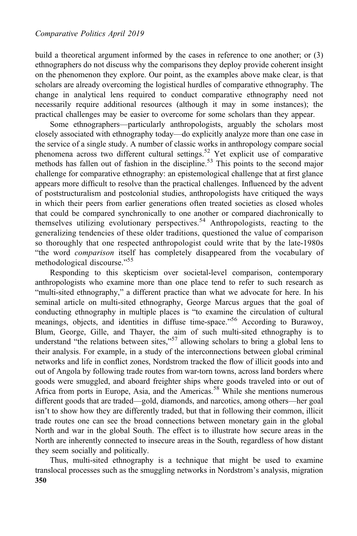build a theoretical argument informed by the cases in reference to one another; or (3) ethnographers do not discuss why the comparisons they deploy provide coherent insight on the phenomenon they explore. Our point, as the examples above make clear, is that scholars are already overcoming the logistical hurdles of comparative ethnography. The change in analytical lens required to conduct comparative ethnography need not necessarily require additional resources (although it may in some instances); the practical challenges may be easier to overcome for some scholars than they appear.

Some ethnographers—particularly anthropologists, arguably the scholars most closely associated with ethnography today—do explicitly analyze more than one case in the service of a single study. A number of classic works in anthropology compare social phenomena across two different cultural settings.<sup>52</sup> Yet explicit use of comparative methods has fallen out of fashion in the discipline.<sup>53</sup> This points to the second major challenge for comparative ethnography: an epistemological challenge that at first glance appears more difficult to resolve than the practical challenges. Influenced by the advent of poststructuralism and postcolonial studies, anthropologists have critiqued the ways in which their peers from earlier generations often treated societies as closed wholes that could be compared synchronically to one another or compared diachronically to themselves utilizing evolutionary perspectives.<sup>54</sup> Anthropologists, reacting to the generalizing tendencies of these older traditions, questioned the value of comparison so thoroughly that one respected anthropologist could write that by the late-1980s "the word comparison itself has completely disappeared from the vocabulary of methodological discourse." 55

Responding to this skepticism over societal-level comparison, contemporary anthropologists who examine more than one place tend to refer to such research as "multi-sited ethnography," a different practice than what we advocate for here. In his seminal article on multi-sited ethnography, George Marcus argues that the goal of conducting ethnography in multiple places is "to examine the circulation of cultural meanings, objects, and identities in diffuse time-space."<sup>56</sup> According to Burawoy, Blum, George, Gille, and Thayer, the aim of such multi-sited ethnography is to understand "the relations between sites,"<sup>57</sup> allowing scholars to bring a global lens to their analysis. For example, in a study of the interconnections between global criminal networks and life in conflict zones, Nordstrom tracked the flow of illicit goods into and out of Angola by following trade routes from war-torn towns, across land borders where goods were smuggled, and aboard freighter ships where goods traveled into or out of Africa from ports in Europe, Asia, and the Americas.<sup>58</sup> While she mentions numerous different goods that are traded—gold, diamonds, and narcotics, among others—her goal isn't to show how they are differently traded, but that in following their common, illicit trade routes one can see the broad connections between monetary gain in the global North and war in the global South. The effect is to illustrate how secure areas in the North are inherently connected to insecure areas in the South, regardless of how distant they seem socially and politically.

Thus, multi-sited ethnography is a technique that might be used to examine translocal processes such as the smuggling networks in Nordstrom's analysis, migration 350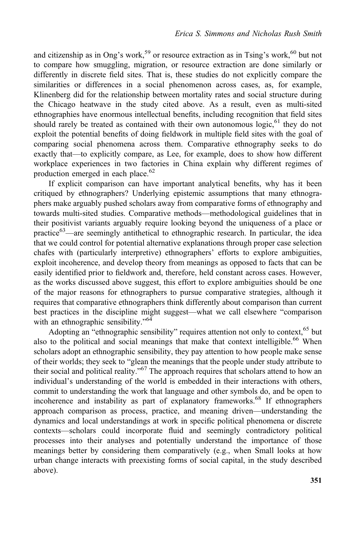and citizenship as in Ong's work,<sup>59</sup> or resource extraction as in Tsing's work,<sup>60</sup> but not to compare how smuggling, migration, or resource extraction are done similarly or differently in discrete field sites. That is, these studies do not explicitly compare the similarities or differences in a social phenomenon across cases, as, for example, Klinenberg did for the relationship between mortality rates and social structure during the Chicago heatwave in the study cited above. As a result, even as multi-sited ethnographies have enormous intellectual benefits, including recognition that field sites should rarely be treated as contained with their own autonomous logic,  $61$  they do not exploit the potential benefits of doing fieldwork in multiple field sites with the goal of comparing social phenomena across them. Comparative ethnography seeks to do exactly that—to explicitly compare, as Lee, for example, does to show how different workplace experiences in two factories in China explain why different regimes of production emerged in each place.<sup>62</sup>

If explicit comparison can have important analytical benefits, why has it been critiqued by ethnographers? Underlying epistemic assumptions that many ethnographers make arguably pushed scholars away from comparative forms of ethnography and towards multi-sited studies. Comparative methods—methodological guidelines that in their positivist variants arguably require looking beyond the uniqueness of a place or practice<sup>63</sup>—are seemingly antithetical to ethnographic research. In particular, the idea that we could control for potential alternative explanations through proper case selection chafes with (particularly interpretive) ethnographers' efforts to explore ambiguities, exploit incoherence, and develop theory from meanings as opposed to facts that can be easily identified prior to fieldwork and, therefore, held constant across cases. However, as the works discussed above suggest, this effort to explore ambiguities should be one of the major reasons for ethnographers to pursue comparative strategies, although it requires that comparative ethnographers think differently about comparison than current best practices in the discipline might suggest—what we call elsewhere "comparison with an ethnographic sensibility."<sup>64</sup>

Adopting an "ethnographic sensibility" requires attention not only to context, 65 but also to the political and social meanings that make that context intelligible.<sup>66</sup> When scholars adopt an ethnographic sensibility, they pay attention to how people make sense of their worlds; they seek to "glean the meanings that the people under study attribute to their social and political reality."<sup>67</sup> The approach requires that scholars attend to how an individual's understanding of the world is embedded in their interactions with others, commit to understanding the work that language and other symbols do, and be open to incoherence and instability as part of explanatory frameworks.<sup>68</sup> If ethnographers approach comparison as process, practice, and meaning driven—understanding the dynamics and local understandings at work in specific political phenomena or discrete contexts—scholars could incorporate fluid and seemingly contradictory political processes into their analyses and potentially understand the importance of those meanings better by considering them comparatively (e.g., when Small looks at how urban change interacts with preexisting forms of social capital, in the study described above).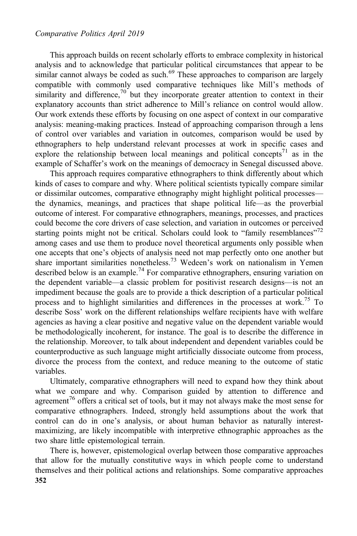#### Comparative Politics April 2019

This approach builds on recent scholarly efforts to embrace complexity in historical analysis and to acknowledge that particular political circumstances that appear to be similar cannot always be coded as such.<sup>69</sup> These approaches to comparison are largely compatible with commonly used comparative techniques like Mill's methods of similarity and difference, $70$  but they incorporate greater attention to context in their explanatory accounts than strict adherence to Mill's reliance on control would allow. Our work extends these efforts by focusing on one aspect of context in our comparative analysis: meaning-making practices. Instead of approaching comparison through a lens of control over variables and variation in outcomes, comparison would be used by ethnographers to help understand relevant processes at work in specific cases and explore the relationship between local meanings and political concepts<sup>71</sup> as in the example of Schaffer's work on the meanings of democracy in Senegal discussed above.

This approach requires comparative ethnographers to think differently about which kinds of cases to compare and why. Where political scientists typically compare similar or dissimilar outcomes, comparative ethnography might highlight political processes the dynamics, meanings, and practices that shape political life—as the proverbial outcome of interest. For comparative ethnographers, meanings, processes, and practices could become the core drivers of case selection, and variation in outcomes or perceived starting points might not be critical. Scholars could look to "family resemblances"<sup>72</sup> among cases and use them to produce novel theoretical arguments only possible when one accepts that one's objects of analysis need not map perfectly onto one another but share important similarities nonetheless.<sup>73</sup> Wedeen's work on nationalism in Yemen described below is an example.<sup>74</sup> For comparative ethnographers, ensuring variation on the dependent variable—a classic problem for positivist research designs—is not an impediment because the goals are to provide a thick description of a particular political process and to highlight similarities and differences in the processes at work.<sup>75</sup> To describe Soss' work on the different relationships welfare recipients have with welfare agencies as having a clear positive and negative value on the dependent variable would be methodologically incoherent, for instance. The goal is to describe the difference in the relationship. Moreover, to talk about independent and dependent variables could be counterproductive as such language might artificially dissociate outcome from process, divorce the process from the context, and reduce meaning to the outcome of static variables.

Ultimately, comparative ethnographers will need to expand how they think about what we compare and why. Comparison guided by attention to difference and agreement<sup>76</sup> offers a critical set of tools, but it may not always make the most sense for comparative ethnographers. Indeed, strongly held assumptions about the work that control can do in one's analysis, or about human behavior as naturally interestmaximizing, are likely incompatible with interpretive ethnographic approaches as the two share little epistemological terrain.

There is, however, epistemological overlap between those comparative approaches that allow for the mutually constitutive ways in which people come to understand themselves and their political actions and relationships. Some comparative approaches 352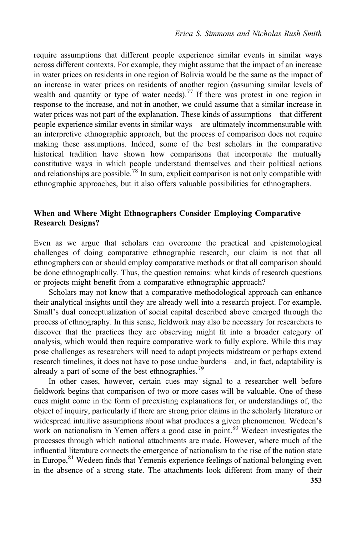require assumptions that different people experience similar events in similar ways across different contexts. For example, they might assume that the impact of an increase in water prices on residents in one region of Bolivia would be the same as the impact of an increase in water prices on residents of another region (assuming similar levels of wealth and quantity or type of water needs).<sup>77</sup> If there was protest in one region in response to the increase, and not in another, we could assume that a similar increase in water prices was not part of the explanation. These kinds of assumptions—that different people experience similar events in similar ways—are ultimately incommensurable with an interpretive ethnographic approach, but the process of comparison does not require making these assumptions. Indeed, some of the best scholars in the comparative historical tradition have shown how comparisons that incorporate the mutually constitutive ways in which people understand themselves and their political actions and relationships are possible.<sup>78</sup> In sum, explicit comparison is not only compatible with ethnographic approaches, but it also offers valuable possibilities for ethnographers.

## When and Where Might Ethnographers Consider Employing Comparative Research Designs?

Even as we argue that scholars can overcome the practical and epistemological challenges of doing comparative ethnographic research, our claim is not that all ethnographers can or should employ comparative methods or that all comparison should be done ethnographically. Thus, the question remains: what kinds of research questions or projects might benefit from a comparative ethnographic approach?

Scholars may not know that a comparative methodological approach can enhance their analytical insights until they are already well into a research project. For example, Small's dual conceptualization of social capital described above emerged through the process of ethnography. In this sense, fieldwork may also be necessary for researchers to discover that the practices they are observing might fit into a broader category of analysis, which would then require comparative work to fully explore. While this may pose challenges as researchers will need to adapt projects midstream or perhaps extend research timelines, it does not have to pose undue burdens—and, in fact, adaptability is already a part of some of the best ethnographies.<sup>79</sup>

In other cases, however, certain cues may signal to a researcher well before fieldwork begins that comparison of two or more cases will be valuable. One of these cues might come in the form of preexisting explanations for, or understandings of, the object of inquiry, particularly if there are strong prior claims in the scholarly literature or widespread intuitive assumptions about what produces a given phenomenon. Wedeen's work on nationalism in Yemen offers a good case in point.<sup>80</sup> Wedeen investigates the processes through which national attachments are made. However, where much of the influential literature connects the emergence of nationalism to the rise of the nation state in Europe,<sup>81</sup> Wedeen finds that Yemenis experience feelings of national belonging even in the absence of a strong state. The attachments look different from many of their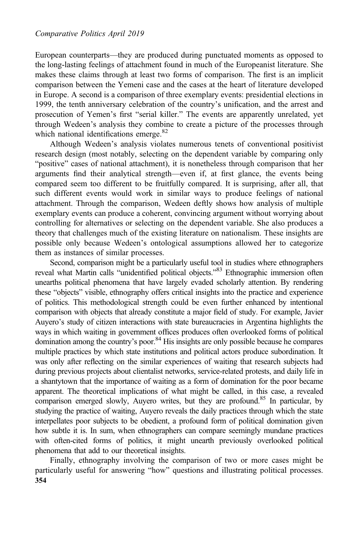European counterparts—they are produced during punctuated moments as opposed to the long-lasting feelings of attachment found in much of the Europeanist literature. She makes these claims through at least two forms of comparison. The first is an implicit comparison between the Yemeni case and the cases at the heart of literature developed in Europe. A second is a comparison of three exemplary events: presidential elections in 1999, the tenth anniversary celebration of the country's unification, and the arrest and prosecution of Yemen's first "serial killer." The events are apparently unrelated, yet through Wedeen's analysis they combine to create a picture of the processes through which national identifications emerge.<sup>82</sup>

Although Wedeen's analysis violates numerous tenets of conventional positivist research design (most notably, selecting on the dependent variable by comparing only "positive" cases of national attachment), it is nonetheless through comparison that her arguments find their analytical strength—even if, at first glance, the events being compared seem too different to be fruitfully compared. It is surprising, after all, that such different events would work in similar ways to produce feelings of national attachment. Through the comparison, Wedeen deftly shows how analysis of multiple exemplary events can produce a coherent, convincing argument without worrying about controlling for alternatives or selecting on the dependent variable. She also produces a theory that challenges much of the existing literature on nationalism. These insights are possible only because Wedeen's ontological assumptions allowed her to categorize them as instances of similar processes.

Second, comparison might be a particularly useful tool in studies where ethnographers reveal what Martin calls "unidentified political objects." <sup>83</sup> Ethnographic immersion often unearths political phenomena that have largely evaded scholarly attention. By rendering these "objects" visible, ethnography offers critical insights into the practice and experience of politics. This methodological strength could be even further enhanced by intentional comparison with objects that already constitute a major field of study. For example, Javier Auyero's study of citizen interactions with state bureaucracies in Argentina highlights the ways in which waiting in government offices produces often overlooked forms of political domination among the country's poor.<sup>84</sup> His insights are only possible because he compares multiple practices by which state institutions and political actors produce subordination. It was only after reflecting on the similar experiences of waiting that research subjects had during previous projects about clientalist networks, service-related protests, and daily life in a shantytown that the importance of waiting as a form of domination for the poor became apparent. The theoretical implications of what might be called, in this case, a revealed comparison emerged slowly, Auyero writes, but they are profound.<sup>85</sup> In particular, by studying the practice of waiting, Auyero reveals the daily practices through which the state interpellates poor subjects to be obedient, a profound form of political domination given how subtle it is. In sum, when ethnographers can compare seemingly mundane practices with often-cited forms of politics, it might unearth previously overlooked political phenomena that add to our theoretical insights.

Finally, ethnography involving the comparison of two or more cases might be particularly useful for answering "how" questions and illustrating political processes. 354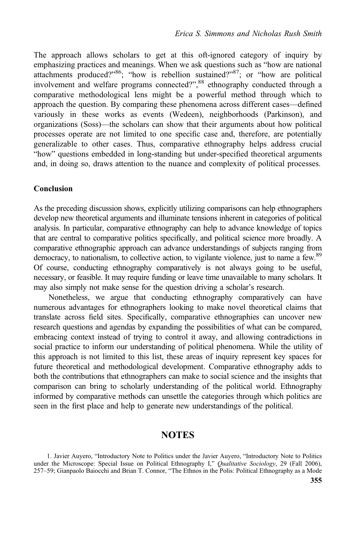The approach allows scholars to get at this oft-ignored category of inquiry by emphasizing practices and meanings. When we ask questions such as "how are national attachments produced?"<sup>86</sup>; "how is rebellion sustained?"<sup>87</sup>; or "how are political involvement and welfare programs connected?", <sup>88</sup> ethnography conducted through a comparative methodological lens might be a powerful method through which to approach the question. By comparing these phenomena across different cases—defined variously in these works as events (Wedeen), neighborhoods (Parkinson), and organizations (Soss)—the scholars can show that their arguments about how political processes operate are not limited to one specific case and, therefore, are potentially generalizable to other cases. Thus, comparative ethnography helps address crucial "how" questions embedded in long-standing but under-specified theoretical arguments and, in doing so, draws attention to the nuance and complexity of political processes.

#### Conclusion

As the preceding discussion shows, explicitly utilizing comparisons can help ethnographers develop new theoretical arguments and illuminate tensions inherent in categories of political analysis. In particular, comparative ethnography can help to advance knowledge of topics that are central to comparative politics specifically, and political science more broadly. A comparative ethnographic approach can advance understandings of subjects ranging from democracy, to nationalism, to collective action, to vigilante violence, just to name a few.<sup>89</sup> Of course, conducting ethnography comparatively is not always going to be useful, necessary, or feasible. It may require funding or leave time unavailable to many scholars. It may also simply not make sense for the question driving a scholar's research.

Nonetheless, we argue that conducting ethnography comparatively can have numerous advantages for ethnographers looking to make novel theoretical claims that translate across field sites. Specifically, comparative ethnographies can uncover new research questions and agendas by expanding the possibilities of what can be compared, embracing context instead of trying to control it away, and allowing contradictions in social practice to inform our understanding of political phenomena. While the utility of this approach is not limited to this list, these areas of inquiry represent key spaces for future theoretical and methodological development. Comparative ethnography adds to both the contributions that ethnographers can make to social science and the insights that comparison can bring to scholarly understanding of the political world. Ethnography informed by comparative methods can unsettle the categories through which politics are seen in the first place and help to generate new understandings of the political.

## **NOTES**

1. Javier Auyero, "Introductory Note to Politics under the Javier Auyero, "Introductory Note to Politics under the Microscope: Special Issue on Political Ethnography I," Qualitative Sociology, 29 (Fall 2006), 257–59; Gianpaolo Baiocchi and Brian T. Connor, "The Ethnos in the Polis: Political Ethnography as a Mode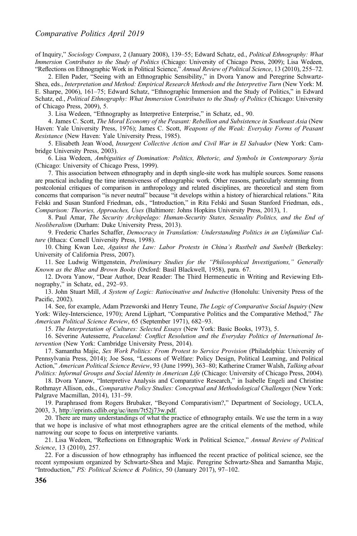of Inquiry," Sociology Compass, 2 (January 2008), 139–55; Edward Schatz, ed., Political Ethnography: What Immersion Contributes to the Study of Politics (Chicago: University of Chicago Press, 2009); Lisa Wedeen, "Reflections on Ethnographic Work in Political Science," Annual Review of Political Science, 13 (2010), 255–72.

2. Ellen Pader, "Seeing with an Ethnographic Sensibility," in Dvora Yanow and Peregrine Schwartz-Shea, eds., Interpretation and Method: Empirical Research Methods and the Interpretive Turn (New York: M. E. Sharpe, 2006), 161–75; Edward Schatz, "Ethnographic Immersion and the Study of Politics," in Edward Schatz, ed., Political Ethnography: What Immersion Contributes to the Study of Politics (Chicago: University of Chicago Press, 2009), 5.

3. Lisa Wedeen, "Ethnography as Interpretive Enterprise," in Schatz, ed., 90.

4. James C. Scott, The Moral Economy of the Peasant: Rebellion and Subsistence in Southeast Asia (New Haven: Yale University Press, 1976); James C. Scott, Weapons of the Weak: Everyday Forms of Peasant Resistance (New Haven: Yale University Press, 1985).

5. Elisabeth Jean Wood, Insurgent Collective Action and Civil War in El Salvador (New York: Cambridge University Press, 2003).

6. Lisa Wedeen, Ambiguities of Domination: Politics, Rhetoric, and Symbols in Contemporary Syria (Chicago: University of Chicago Press, 1999).

7. This association between ethnography and in depth single-site work has multiple sources. Some reasons are practical including the time intensiveness of ethnographic work. Other reasons, particularly stemming from postcolonial critiques of comparison in anthropology and related disciplines, are theoretical and stem from concerns that comparison "is never neutral" because "it develops within a history of hierarchical relations." Rita Felski and Susan Stanford Friedman, eds., "Introduction," in Rita Felski and Susan Stanford Friedman, eds., Comparison: Theories, Approaches, Uses (Baltimore: Johns Hopkins University Press, 2013), 1.

8. Paul Amar, The Security Archipelago: Human-Security States, Sexuality Politics, and the End of Neoliberalism (Durham: Duke University Press, 2013).

9. Frederic Charles Schaffer, Democracy in Translation: Understanding Politics in an Unfamiliar Culture (Ithaca: Cornell University Press, 1998).

10. Ching Kwan Lee, Against the Law: Labor Protests in China's Rustbelt and Sunbelt (Berkeley: University of California Press, 2007).

11. See Ludwig Wittgenstein, Preliminary Studies for the "Philosophical Investigations," Generally Known as the Blue and Brown Books (Oxford: Basil Blackwell, 1958), para. 67.

12. Dvora Yanow, "Dear Author, Dear Reader: The Third Hermeneutic in Writing and Reviewing Ethnography," in Schatz, ed., 292–93.

13. John Stuart Mill, A System of Logic: Ratiocinative and Inductive (Honolulu: University Press of the Pacific, 2002).

14. See, for example, Adam Przeworski and Henry Teune, *The Logic of Comparative Social Inquiry* (New York: Wiley-Interscience, 1970); Arend Lijphart, "Comparative Politics and the Comparative Method," The American Political Science Review, 65 (September 1971), 682–93.

15. The Interpretation of Cultures: Selected Essays (New York: Basic Books, 1973), 5.

16. Séverine Autesserre, Peaceland: Conflict Resolution and the Everyday Politics of International Intervention (New York: Cambridge University Press, 2014).

17. Samantha Majic, Sex Work Politics: From Protest to Service Provision (Philadelphia: University of Pennsylvania Press, 2014); Joe Soss, "Lessons of Welfare: Policy Design, Political Learning, and Political Action," American Political Science Review, 93 (June 1999), 363–80; Katherine Cramer Walsh, Talking about Politics: Informal Groups and Social Identity in American Life (Chicago: University of Chicago Press, 2004).

18. Dvora Yanow, "Interpretive Analysis and Comparative Research," in Isabelle Engeli and Christine Rothmayr Allison, eds., Comparative Policy Studies: Conceptual and Methodological Challenges (New York: Palgrave Macmillan, 2014), 131–59.

19. Paraphrased from Rogers Brubaker, "Beyond Comparativism?," Department of Sociology, UCLA, 2003, 3, [http://eprints.cdlib.org/uc/item/7t52j73w.pdf.](http://eprints.cdlib.org/uc/item/7t52j73w.pdf)

20. There are many understandings of what the practice of ethnography entails. We use the term in a way that we hope is inclusive of what most ethnographers agree are the critical elements of the method, while narrowing our scope to focus on interpretive variants.

21. Lisa Wedeen, "Reflections on Ethnographic Work in Political Science," Annual Review of Political Science, 13 (2010), 257.

22. For a discussion of how ethnography has influenced the recent practice of political science, see the recent symposium organized by Schwartz-Shea and Majic. Peregrine Schwartz-Shea and Samantha Majic, "Introduction," PS: Political Science & Politics, 50 (January 2017), 97-102.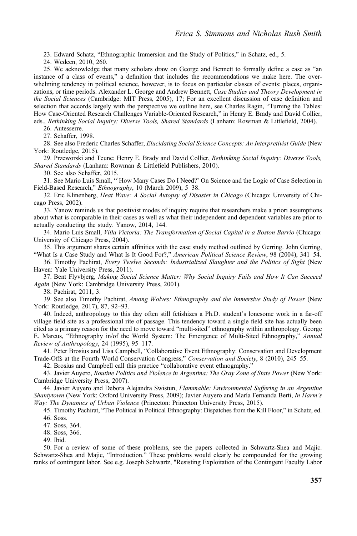23. Edward Schatz, "Ethnographic Immersion and the Study of Politics," in Schatz, ed., 5.

24. Wedeen, 2010, 260.

25. We acknowledge that many scholars draw on George and Bennett to formally define a case as "an instance of a class of events," a definition that includes the recommendations we make here. The overwhelming tendency in political science, however, is to focus on particular classes of events: places, organizations, or time periods. Alexander L. George and Andrew Bennett, Case Studies and Theory Development in the Social Sciences (Cambridge: MIT Press, 2005), 17; For an excellent discussion of case definition and selection that accords largely with the perspective we outline here, see Charles Ragin, "Turning the Tables: How Case-Oriented Research Challenges Variable-Oriented Research," in Henry E. Brady and David Collier, eds., Rethinking Social Inquiry: Diverse Tools, Shared Standards (Lanham: Rowman & Littlefield, 2004).

26. Autesserre.

27. Schaffer, 1998.

28. See also Frederic Charles Schaffer, Elucidating Social Science Concepts: An Interpretivist Guide (New York: Routledge, 2015).

29. Przeworski and Teune; Henry E. Brady and David Collier, Rethinking Social Inquiry: Diverse Tools, Shared Standards (Lanham: Rowman & Littlefield Publishers, 2010).

30. See also Schaffer, 2015.

31. See Mario Luis Small, "`How Many Cases Do I Need?' On Science and the Logic of Case Selection in Field-Based Research," Ethnography, 10 (March 2009), 5–38.

32. Eric Klinenberg, Heat Wave: A Social Autopsy of Disaster in Chicago (Chicago: University of Chicago Press, 2002).

33. Yanow reminds us that positivist modes of inquiry require that researchers make a priori assumptions about what is comparable in their cases as well as what their independent and dependent variables are prior to actually conducting the study. Yanow, 2014, 144.

34. Mario Luis Small, Villa Victoria: The Transformation of Social Capital in a Boston Barrio (Chicago: University of Chicago Press, 2004).

35. This argument shares certain affinities with the case study method outlined by Gerring. John Gerring, "What Is a Case Study and What Is It Good For?," American Political Science Review, 98 (2004), 341-54.

36. Timothy Pachirat, Every Twelve Seconds: Industrialized Slaughter and the Politics of Sight (New Haven: Yale University Press, 2011).

37. Bent Flyvbjerg, Making Social Science Matter: Why Social Inquiry Fails and How It Can Succeed Again (New York: Cambridge University Press, 2001).

38. Pachirat, 2011, 3.

39. See also Timothy Pachirat, Among Wolves: Ethnography and the Immersive Study of Power (New York: Routledge, 2017), 87, 92–93.

40. Indeed, anthropology to this day often still fetishizes a Ph.D. student's lonesome work in a far-off village field site as a professional rite of passage. This tendency toward a single field site has actually been cited as a primary reason for the need to move toward "multi-sited" ethnography within anthropology. George E. Marcus, "Ethnography in/of the World System: The Emergence of Multi-Sited Ethnography," Annual Review of Anthropology, 24 (1995), 95–117.

41. Peter Brosius and Lisa Campbell, "Collaborative Event Ethnography: Conservation and Development Trade-Offs at the Fourth World Conservation Congress," Conservation and Society, 8 (2010), 245–55.

42. Brosius and Campbell call this practice "collaborative event ethnography."

43. Javier Auyero, Routine Politics and Violence in Argentina: The Gray Zone of State Power (New York: Cambridge University Press, 2007).

44. Javier Auyero and Debora Alejandra Swistun, Flammable: Environmental Suffering in an Argentine Shantytown (New York: Oxford University Press, 2009); Javier Auyero and María Fernanda Berti, In Harm's Way: The Dynamics of Urban Violence (Princeton: Princeton University Press, 2015).

45. Timothy Pachirat, "The Political in Political Ethnography: Dispatches from the Kill Floor," in Schatz, ed. 46. Soss.

47. Soss, 364.

48. Soss, 366.

49. Ibid.

50. For a review of some of these problems, see the papers collected in Schwartz-Shea and Majic. Schwartz-Shea and Majic, "Introduction." These problems would clearly be compounded for the growing ranks of contingent labor. See e.g. Joseph Schwartz, "Resisting Exploitation of the Contingent Faculty Labor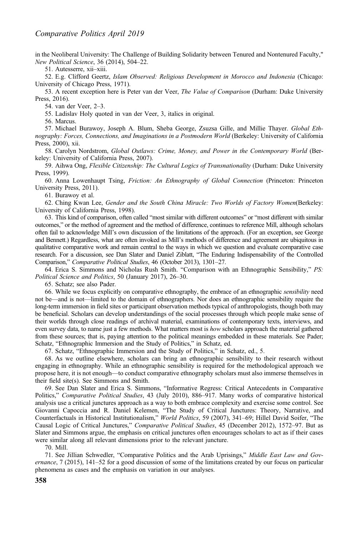in the Neoliberal University: The Challenge of Building Solidarity between Tenured and Nontenured Faculty," New Political Science, 36 (2014), 504–22.

51. Autesserre, xii–xiii.

52. E.g. Clifford Geertz, Islam Observed: Religious Development in Morocco and Indonesia (Chicago: University of Chicago Press, 1971).

53. A recent exception here is Peter van der Veer, *The Value of Comparison* (Durham: Duke University Press, 2016).

54. van der Veer, 2–3.

55. Ladislav Holy quoted in van der Veer, 3, italics in original.

56. Marcus.

57. Michael Burawoy, Joseph A. Blum, Sheba George, Zsuzsa Gille, and Millie Thayer. Global Ethnography: Forces, Connections, and Imaginations in a Postmodern World (Berkeley: University of California Press, 2000), xii.

58. Carolyn Nordstrom, Global Outlaws: Crime, Money, and Power in the Contemporary World (Berkeley: University of California Press, 2007).

59. Aihwa Ong, Flexible Citizenship: The Cultural Logics of Transnationality (Durham: Duke University Press, 1999).

60. Anna Lowenhaupt Tsing, Friction: An Ethnography of Global Connection (Princeton: Princeton University Press, 2011).

61. Burawoy et al.

62. Ching Kwan Lee, Gender and the South China Miracle: Two Worlds of Factory Women(Berkeley: University of California Press, 1998).

63. This kind of comparison, often called "most similar with different outcomes" or "most different with similar outcomes," or the method of agreement and the method of difference, continues to reference Mill, although scholars often fail to acknowledge Mill's own discussion of the limitations of the approach. (For an exception, see George and Bennett.) Regardless, what are often invoked as Mill's methods of difference and agreement are ubiquitous in qualitative comparative work and remain central to the ways in which we question and evaluate comparative case research. For a discussion, see Dan Slater and Daniel Ziblatt, "The Enduring Indispensability of the Controlled Comparison," Comparative Political Studies, 46 (October 2013), 1301–27.

64. Erica S. Simmons and Nicholas Rush Smith. "Comparison with an Ethnographic Sensibility," PS: Political Science and Politics, 50 (January 2017), 26–30.

65. Schatz; see also Pader.

66. While we focus explicitly on comparative ethnography, the embrace of an ethnographic sensibility need not be—and is not—limited to the domain of ethnographers. Nor does an ethnographic sensibility require the long-term immersion in field sites or participant observation methods typical of anthropologists, though both may be beneficial. Scholars can develop understandings of the social processes through which people make sense of their worlds through close readings of archival material, examinations of contemporary texts, interviews, and even survey data, to name just a few methods. What matters most is how scholars approach the material gathered from these sources; that is, paying attention to the political meanings embedded in these materials. See Pader; Schatz, "Ethnographic Immersion and the Study of Politics," in Schatz, ed.

67. Schatz, "Ethnographic Immersion and the Study of Politics," in Schatz, ed., 5.

68. As we outline elsewhere, scholars can bring an ethnographic sensibility to their research without engaging in ethnography. While an ethnographic sensibility is required for the methodological approach we propose here, it is not enough—to conduct comparative ethnography scholars must also immerse themselves in their field site(s). See Simmons and Smith.

69. See Dan Slater and Erica S. Simmons, "Informative Regress: Critical Antecedents in Comparative Politics," Comparative Political Studies, 43 (July 2010), 886–917. Many works of comparative historical analysis use a critical junctures approach as a way to both embrace complexity and exercise some control. See Giovanni Capoccia and R. Daniel Kelemen, "The Study of Critical Junctures: Theory, Narrative, and Counterfactuals in Historical Institutionalism," World Politics, 59 (2007), 341–69; Hillel David Soifer, "The Causal Logic of Critical Junctures," Comparative Political Studies, 45 (December 2012), 1572–97. But as Slater and Simmons argue, the emphasis on critical junctures often encourages scholars to act as if their cases were similar along all relevant dimensions prior to the relevant juncture.

70. Mill.

71. See Jillian Schwedler, "Comparative Politics and the Arab Uprisings," Middle East Law and Governance, 7 (2015), 141–52 for a good discussion of some of the limitations created by our focus on particular phenomena as cases and the emphasis on variation in our analyses.